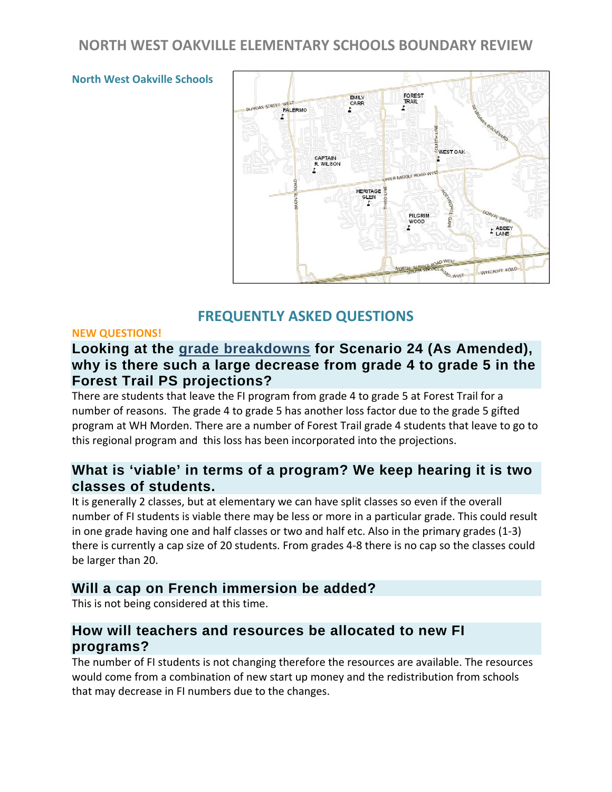# **NORTH WEST OAKVILLE ELEMENTARY SCHOOLS BOUNDARY REVIEW**



#### **North West Oakville Schools**

#### **FREQUENTLY ASKED QUESTIONS**

#### **NEW QUESTIONS!**

## **Looking at the [grade breakdowns](http://www.hdsb.ca/aboutus/Planning/Reviews/NW%20Oakville%20ElemReview%202012/Scenario%2024%20as%20amended%20grade%20breakown.pdf) for Scenario 24 (As Amended), why is there such a large decrease from grade 4 to grade 5 in the Forest Trail PS projections?**

There are students that leave the FI program from grade 4 to grade 5 at Forest Trail for a number of reasons. The grade 4 to grade 5 has another loss factor due to the grade 5 gifted program at WH Morden. There are a number of Forest Trail grade 4 students that leave to go to this regional program and this loss has been incorporated into the projections.

#### **What is 'viable' in terms of a program? We keep hearing it is two classes of students.**

It is generally 2 classes, but at elementary we can have split classes so even if the overall number of FI students is viable there may be less or more in a particular grade. This could result in one grade having one and half classes or two and half etc. Also in the primary grades (1-3) there is currently a cap size of 20 students. From grades 4-8 there is no cap so the classes could be larger than 20.

#### **Will a cap on French immersion be added?**

This is not being considered at this time.

#### **How will teachers and resources be allocated to new FI programs?**

The number of FI students is not changing therefore the resources are available. The resources would come from a combination of new start up money and the redistribution from schools that may decrease in FI numbers due to the changes.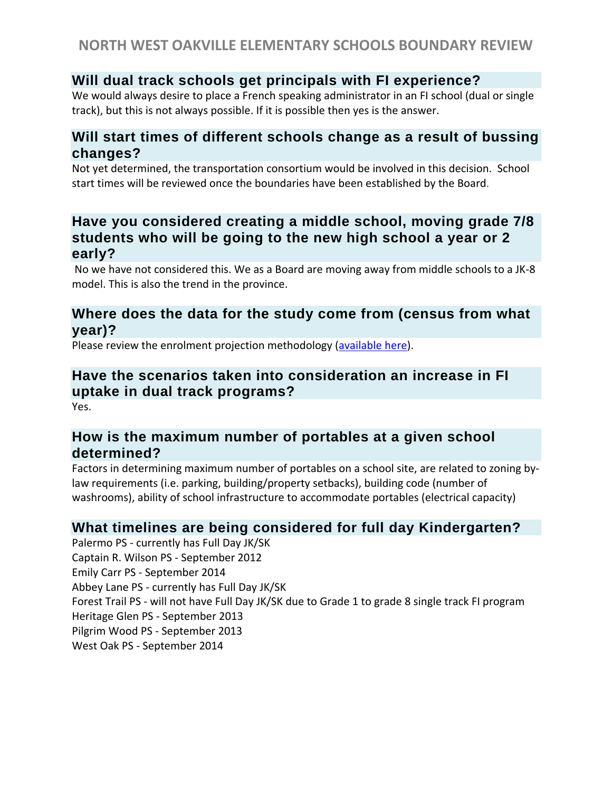# **Will dual track schools get principals with FI experience?**

We would always desire to place a French speaking administrator in an FI school (dual or single track), but this is not always possible. If it is possible then yes is the answer.

# **Will start times of different schools change as a result of bussing changes?**

Not yet determined, the transportation consortium would be involved in this decision. School start times will be reviewed once the boundaries have been established by the Board.

# **Have you considered creating a middle school, moving grade 7/8 students who will be going to the new high school a year or 2 early?**

No we have not considered this. We as a Board are moving away from middle schools to a JK-8 model. This is also the trend in the province.

## **Where does the data for the study come from (census from what year)?**

Please review the enrolment projection methodology [\(available here\)](http://www.hdsb.ca/aboutus/Planning/LTAP%20201112/Introduction.pdf).

# **Have the scenarios taken into consideration an increase in FI uptake in dual track programs?**

Yes.

## **How is the maximum number of portables at a given school determined?**

Factors in determining maximum number of portables on a school site, are related to zoning bylaw requirements (i.e. parking, building/property setbacks), building code (number of washrooms), ability of school infrastructure to accommodate portables (electrical capacity)

# **What timelines are being considered for full day Kindergarten?**

Palermo PS - currently has Full Day JK/SK Captain R. Wilson PS - September 2012 Emily Carr PS - September 2014 Abbey Lane PS - currently has Full Day JK/SK Forest Trail PS - will not have Full Day JK/SK due to Grade 1 to grade 8 single track FI program Heritage Glen PS - September 2013 Pilgrim Wood PS - September 2013 West Oak PS - September 2014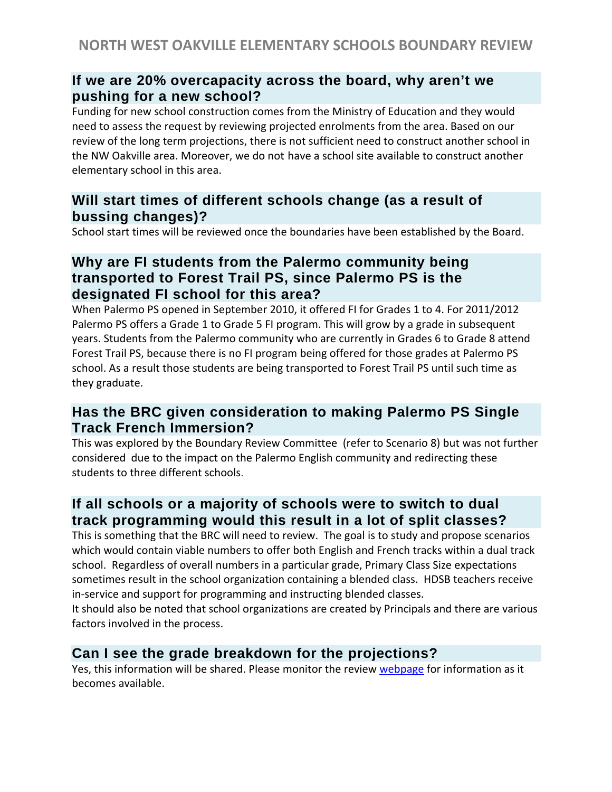# **If we are 20% overcapacity across the board, why aren't we pushing for a new school?**

Funding for new school construction comes from the Ministry of Education and they would need to assess the request by reviewing projected enrolments from the area. Based on our review of the long term projections, there is not sufficient need to construct another school in the NW Oakville area. Moreover, we do not have a school site available to construct another elementary school in this area.

# **Will start times of different schools change (as a result of bussing changes)?**

School start times will be reviewed once the boundaries have been established by the Board.

# **Why are FI students from the Palermo community being transported to Forest Trail PS, since Palermo PS is the designated FI school for this area?**

When Palermo PS opened in September 2010, it offered FI for Grades 1 to 4. For 2011/2012 Palermo PS offers a Grade 1 to Grade 5 FI program. This will grow by a grade in subsequent years. Students from the Palermo community who are currently in Grades 6 to Grade 8 attend Forest Trail PS, because there is no FI program being offered for those grades at Palermo PS school. As a result those students are being transported to Forest Trail PS until such time as they graduate.

# **Has the BRC given consideration to making Palermo PS Single Track French Immersion?**

This was explored by the Boundary Review Committee (refer to Scenario 8) but was not further considered due to the impact on the Palermo English community and redirecting these students to three different schools.

# **If all schools or a majority of schools were to switch to dual track programming would this result in a lot of split classes?**

This is something that the BRC will need to review. The goal is to study and propose scenarios which would contain viable numbers to offer both English and French tracks within a dual track school. Regardless of overall numbers in a particular grade, Primary Class Size expectations sometimes result in the school organization containing a blended class. HDSB teachers receive in-service and support for programming and instructing blended classes.

It should also be noted that school organizations are created by Principals and there are various factors involved in the process.

# **Can I see the grade breakdown for the projections?**

Yes, this information will be shared. Please monitor the revie[w webpage](http://www.hdsb.ca/aboutus/Planning/Reviews/Pages/NWOakvilleBoundaryReview2012.aspx) for information as it becomes available.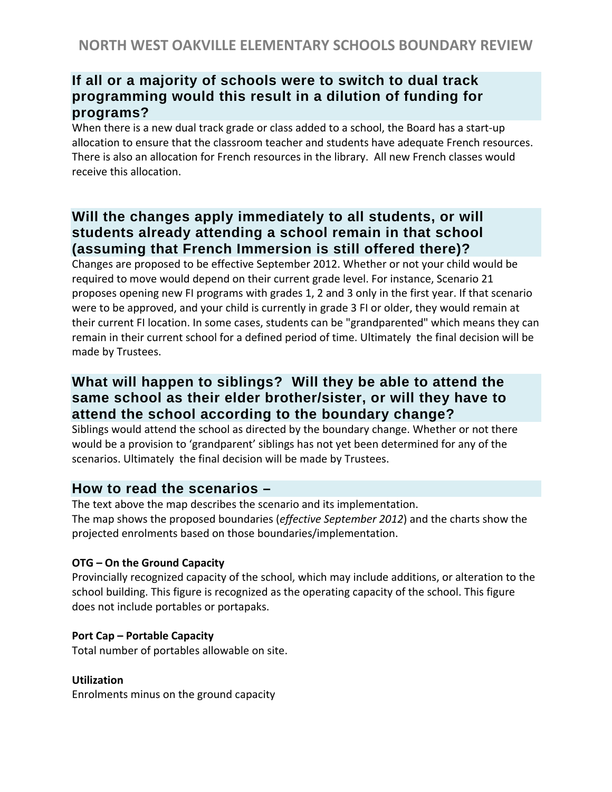# **If all or a majority of schools were to switch to dual track programming would this result in a dilution of funding for programs?**

When there is a new dual track grade or class added to a school, the Board has a start-up allocation to ensure that the classroom teacher and students have adequate French resources. There is also an allocation for French resources in the library. All new French classes would receive this allocation.

# **Will the changes apply immediately to all students, or will students already attending a school remain in that school (assuming that French Immersion is still offered there)?**

Changes are proposed to be effective September 2012. Whether or not your child would be required to move would depend on their current grade level. For instance, Scenario 21 proposes opening new FI programs with grades 1, 2 and 3 only in the first year. If that scenario were to be approved, and your child is currently in grade 3 FI or older, they would remain at their current FI location. In some cases, students can be "grandparented" which means they can remain in their current school for a defined period of time. Ultimately the final decision will be made by Trustees.

# **What will happen to siblings? Will they be able to attend the same school as their elder brother/sister, or will they have to attend the school according to the boundary change?**

Siblings would attend the school as directed by the boundary change. Whether or not there would be a provision to 'grandparent' siblings has not yet been determined for any of the scenarios. Ultimately the final decision will be made by Trustees.

# **How to read the scenarios –**

The text above the map describes the scenario and its implementation.

The map shows the proposed boundaries (*effective September 2012*) and the charts show the projected enrolments based on those boundaries/implementation.

#### **OTG – On the Ground Capacity**

Provincially recognized capacity of the school, which may include additions, or alteration to the school building. This figure is recognized as the operating capacity of the school. This figure does not include portables or portapaks.

#### **Port Cap – Portable Capacity**

Total number of portables allowable on site.

#### **Utilization**

Enrolments minus on the ground capacity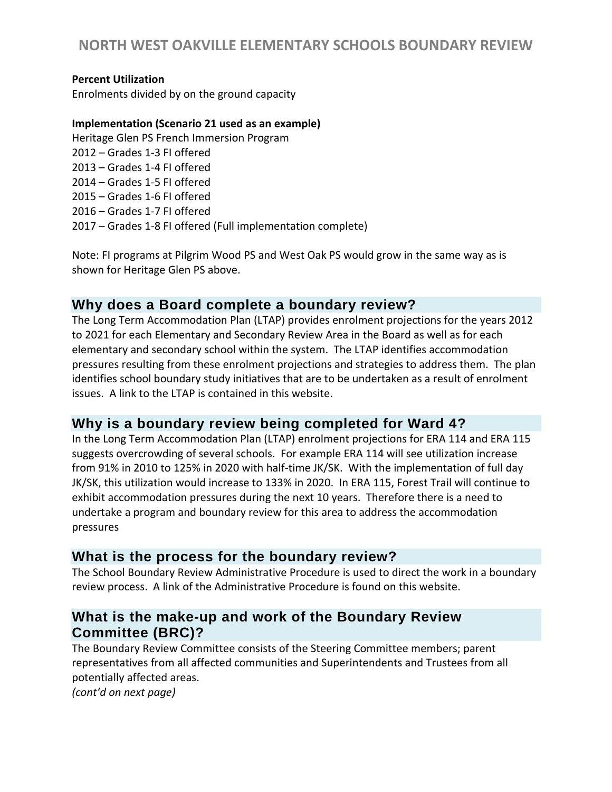# **NORTH WEST OAKVILLE ELEMENTARY SCHOOLS BOUNDARY REVIEW**

#### **Percent Utilization**

Enrolments divided by on the ground capacity

#### **Implementation (Scenario 21 used as an example)**

Heritage Glen PS French Immersion Program 2012 – Grades 1-3 FI offered 2013 – Grades 1-4 FI offered 2014 – Grades 1-5 FI offered 2015 – Grades 1-6 FI offered 2016 – Grades 1-7 FI offered 2017 – Grades 1-8 FI offered (Full implementation complete)

Note: FI programs at Pilgrim Wood PS and West Oak PS would grow in the same way as is shown for Heritage Glen PS above.

#### **Why does a Board complete a boundary review?**

The Long Term Accommodation Plan (LTAP) provides enrolment projections for the years 2012 to 2021 for each Elementary and Secondary Review Area in the Board as well as for each elementary and secondary school within the system. The LTAP identifies accommodation pressures resulting from these enrolment projections and strategies to address them. The plan identifies school boundary study initiatives that are to be undertaken as a result of enrolment issues. A link to the LTAP is contained in this website.

#### **Why is a boundary review being completed for Ward 4?**

In the Long Term Accommodation Plan (LTAP) enrolment projections for ERA 114 and ERA 115 suggests overcrowding of several schools. For example ERA 114 will see utilization increase from 91% in 2010 to 125% in 2020 with half-time JK/SK. With the implementation of full day JK/SK, this utilization would increase to 133% in 2020. In ERA 115, Forest Trail will continue to exhibit accommodation pressures during the next 10 years. Therefore there is a need to undertake a program and boundary review for this area to address the accommodation pressures

#### **What is the process for the boundary review?**

The School Boundary Review Administrative Procedure is used to direct the work in a boundary review process. A link of the Administrative Procedure is found on this website.

#### **What is the make-up and work of the Boundary Review Committee (BRC)?**

The Boundary Review Committee consists of the Steering Committee members; parent representatives from all affected communities and Superintendents and Trustees from all potentially affected areas.

*(cont'd on next page)*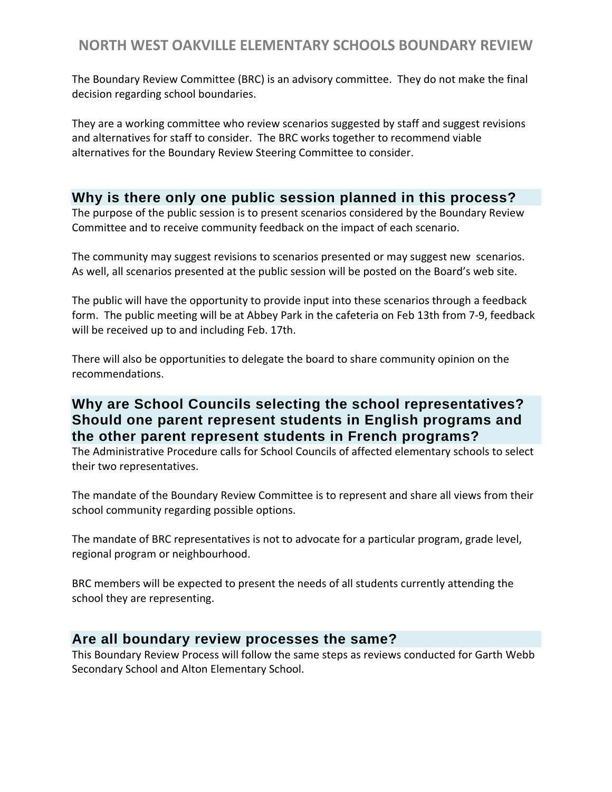The Boundary Review Committee (BRC) is an advisory committee. They do not make the final decision regarding school boundaries.

They are a working committee who review scenarios suggested by staff and suggest revisions and alternatives for staff to consider. The BRC works together to recommend viable alternatives for the Boundary Review Steering Committee to consider.

### **Why is there only one public session planned in this process?**

The purpose of the public session is to present scenarios considered by the Boundary Review Committee and to receive community feedback on the impact of each scenario.

The community may suggest revisions to scenarios presented or may suggest new scenarios. As well, all scenarios presented at the public session will be posted on the Board's web site.

The public will have the opportunity to provide input into these scenarios through a feedback form. The public meeting will be at Abbey Park in the cafeteria on Feb 13th from 7-9, feedback will be received up to and including Feb. 17th.

There will also be opportunities to delegate the board to share community opinion on the recommendations.

# **Why are School Councils selecting the school representatives? Should one parent represent students in English programs and the other parent represent students in French programs?**

The Administrative Procedure calls for School Councils of affected elementary schools to select their two representatives.

The mandate of the Boundary Review Committee is to represent and share all views from their school community regarding possible options.

The mandate of BRC representatives is not to advocate for a particular program, grade level, regional program or neighbourhood.

BRC members will be expected to present the needs of all students currently attending the school they are representing.

# **Are all boundary review processes the same?**

This Boundary Review Process will follow the same steps as reviews conducted for Garth Webb Secondary School and Alton Elementary School.